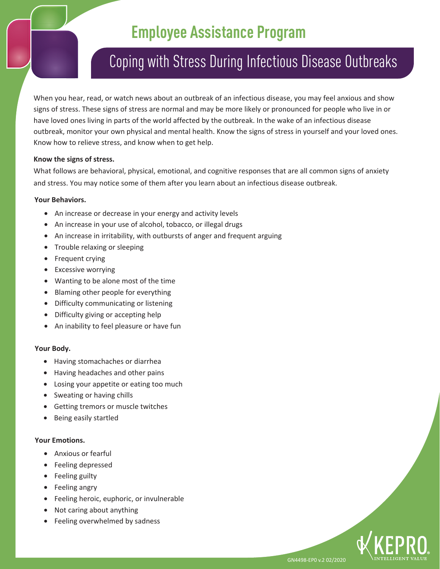# **Employee Assistance Program**

## Coping with Stress During Infectious Disease Outbreaks

When you hear, read, or watch news about an outbreak of an infectious disease, you may feel anxious and show signs of stress. These signs of stress are normal and may be more likely or pronounced for people who live in or have loved ones living in parts of the world affected by the outbreak. In the wake of an infectious disease outbreak, monitor your own physical and mental health. Know the signs of stress in yourself and your loved ones. Know how to relieve stress, and know when to get help.

### **Know the signs of stress.**

What follows are behavioral, physical, emotional, and cognitive responses that are all common signs of anxiety and stress. You may notice some of them after you learn about an infectious disease outbreak.

### **Your Behaviors.**

- An increase or decrease in your energy and activity levels
- An increase in your use of alcohol, tobacco, or illegal drugs
- An increase in irritability, with outbursts of anger and frequent arguing
- Trouble relaxing or sleeping
- Frequent crying
- Excessive worrying
- Wanting to be alone most of the time
- Blaming other people for everything
- Difficulty communicating or listening
- Difficulty giving or accepting help
- An inability to feel pleasure or have fun

### **Your Body.**

- Having stomachaches or diarrhea
- Having headaches and other pains
- Losing your appetite or eating too much
- Sweating or having chills
- Getting tremors or muscle twitches
- Being easily startled

### **Your Emotions.**

- Anxious or fearful
- Feeling depressed
- Feeling guilty
- Feeling angry
- Feeling heroic, euphoric, or invulnerable
- Not caring about anything
- Feeling overwhelmed by sadness



GN4498-EP0 v.2 02/2020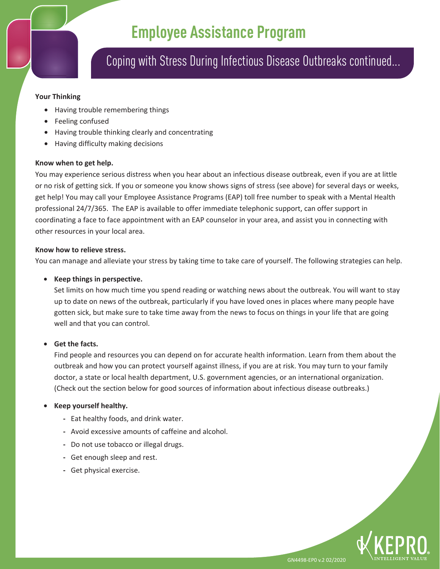## **Employee Assistance Program**

### Coping with Stress During Infectious Disease Outbreaks continued...

#### **Your Thinking**

- Having trouble remembering things
- Feeling confused
- Having trouble thinking clearly and concentrating
- Having difficulty making decisions

#### **Know when to get help.**

You may experience serious distress when you hear about an infectious disease outbreak, even if you are at little or no risk of getting sick. If you or someone you know shows signs of stress (see above) for several days or weeks, get help! You may call your Employee Assistance Programs (EAP) toll free number to speak with a Mental Health professional 24/7/365. The EAP is available to offer immediate telephonic support, can offer support in coordinating a face to face appointment with an EAP counselor in your area, and assist you in connecting with other resources in your local area.

### **Know how to relieve stress.**

You can manage and alleviate your stress by taking time to take care of yourself. The following strategies can help.

### • **Keep things in perspective.**

Set limits on how much time you spend reading or watching news about the outbreak. You will want to stay up to date on news of the outbreak, particularly if you have loved ones in places where many people have gotten sick, but make sure to take time away from the news to focus on things in your life that are going well and that you can control.

### • **Get the facts.**

Find people and resources you can depend on for accurate health information. Learn from them about the outbreak and how you can protect yourself against illness, if you are at risk. You may turn to your family doctor, a state or local health department, U.S. government agencies, or an international organization. (Check out the section below for good sources of information about infectious disease outbreaks.)

### • **Keep yourself healthy.**

- **-** Eat healthy foods, and drink water.
- **-** Avoid excessive amounts of caffeine and alcohol.
- **-** Do not use tobacco or illegal drugs.
- **-** Get enough sleep and rest.
- **-** Get physical exercise.

GN4498-EP0 v.2 02/2020